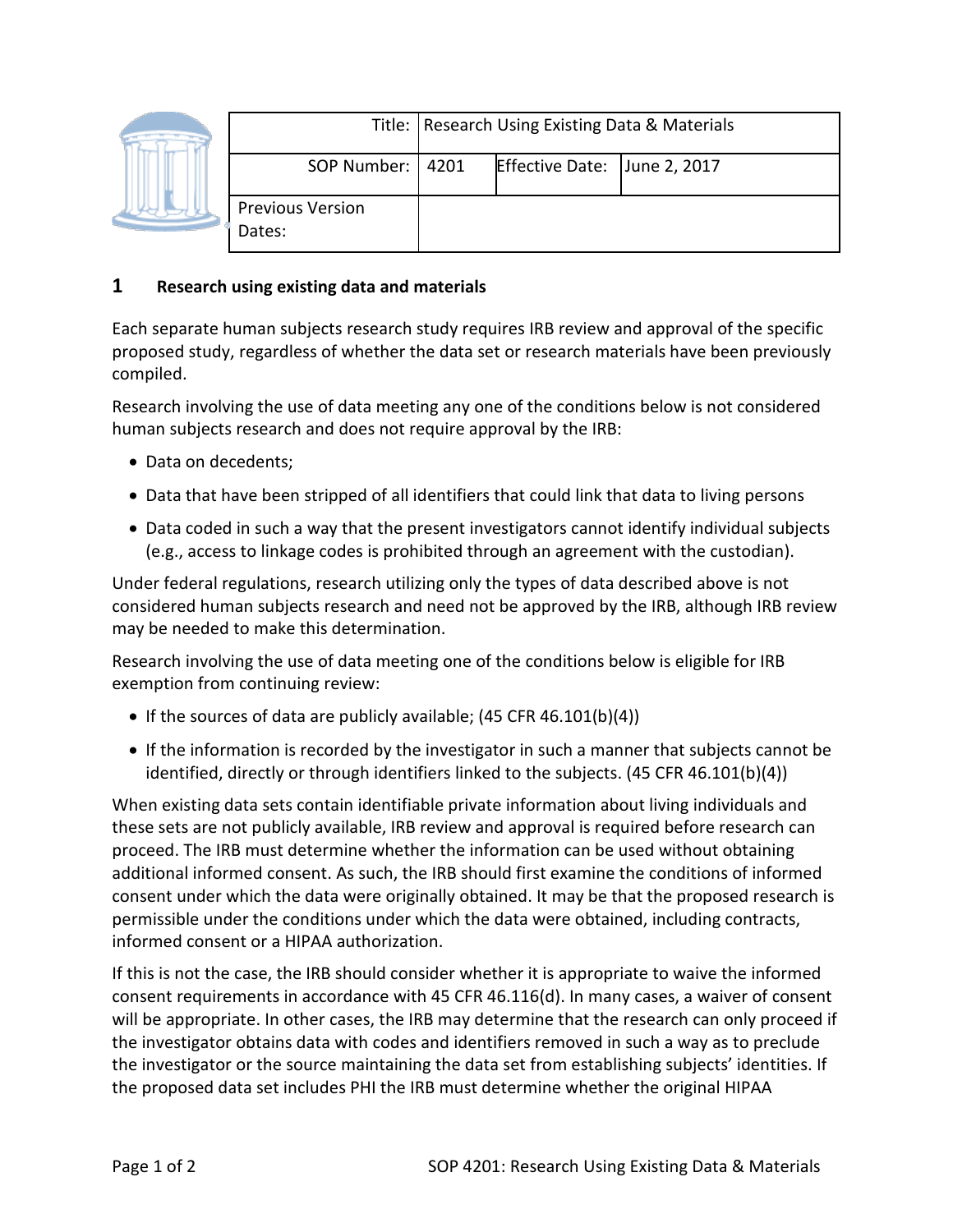|  |                                   | Title:   Research Using Existing Data & Materials |                              |  |
|--|-----------------------------------|---------------------------------------------------|------------------------------|--|
|  | SOP Number:   4201                |                                                   | Effective Date: June 2, 2017 |  |
|  | <b>Previous Version</b><br>Dates: |                                                   |                              |  |

## **1 Research using existing data and materials**

Each separate human subjects research study requires IRB review and approval of the specific proposed study, regardless of whether the data set or research materials have been previously compiled.

Research involving the use of data meeting any one of the conditions below is not considered human subjects research and does not require approval by the IRB:

- Data on decedents;
- Data that have been stripped of all identifiers that could link that data to living persons
- Data coded in such a way that the present investigators cannot identify individual subjects (e.g., access to linkage codes is prohibited through an agreement with the custodian).

Under federal regulations, research utilizing only the types of data described above is not considered human subjects research and need not be approved by the IRB, although IRB review may be needed to make this determination.

Research involving the use of data meeting one of the conditions below is eligible for IRB exemption from continuing review:

- If the sources of data are publicly available; (45 CFR 46.101(b)(4))
- If the information is recorded by the investigator in such a manner that subjects cannot be identified, directly or through identifiers linked to the subjects. (45 CFR 46.101(b)(4))

When existing data sets contain identifiable private information about living individuals and these sets are not publicly available, IRB review and approval is required before research can proceed. The IRB must determine whether the information can be used without obtaining additional informed consent. As such, the IRB should first examine the conditions of informed consent under which the data were originally obtained. It may be that the proposed research is permissible under the conditions under which the data were obtained, including contracts, informed consent or a HIPAA authorization.

If this is not the case, the IRB should consider whether it is appropriate to waive the informed consent requirements in accordance with 45 CFR 46.116(d). In many cases, a waiver of consent will be appropriate. In other cases, the IRB may determine that the research can only proceed if the investigator obtains data with codes and identifiers removed in such a way as to preclude the investigator or the source maintaining the data set from establishing subjects' identities. If the proposed data set includes PHI the IRB must determine whether the original HIPAA